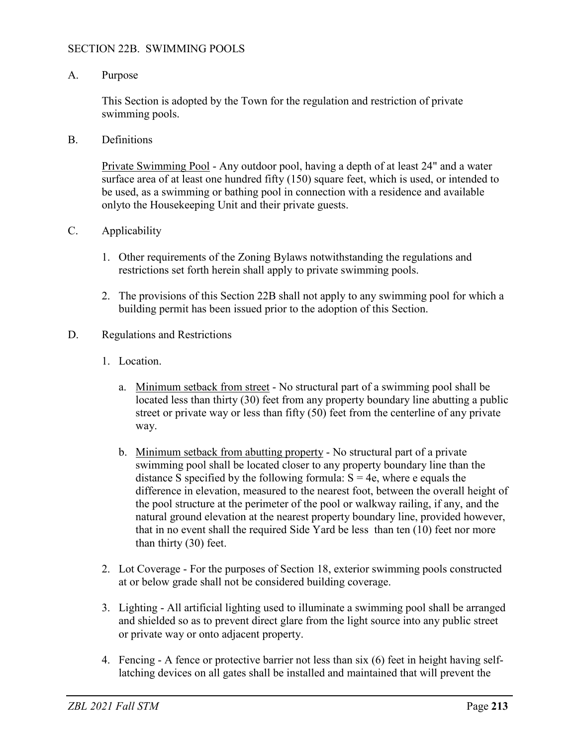## SECTION 22B. SWIMMING POOLS

## A. Purpose

This Section is adopted by the Town for the regulation and restriction of private swimming pools.

B. Definitions

Private Swimming Pool - Any outdoor pool, having a depth of at least 24" and a water surface area of at least one hundred fifty (150) square feet, which is used, or intended to be used, as a swimming or bathing pool in connection with a residence and available onlyto the Housekeeping Unit and their private guests.

- C. Applicability
	- 1. Other requirements of the Zoning Bylaws notwithstanding the regulations and restrictions set forth herein shall apply to private swimming pools.
	- 2. The provisions of this Section 22B shall not apply to any swimming pool for which a building permit has been issued prior to the adoption of this Section.
- D. Regulations and Restrictions
	- 1. Location.
		- a. Minimum setback from street No structural part of a swimming pool shall be located less than thirty (30) feet from any property boundary line abutting a public street or private way or less than fifty (50) feet from the centerline of any private way.
		- b. Minimum setback from abutting property No structural part of a private swimming pool shall be located closer to any property boundary line than the distance S specified by the following formula:  $S = 4e$ , where e equals the difference in elevation, measured to the nearest foot, between the overall height of the pool structure at the perimeter of the pool or walkway railing, if any, and the natural ground elevation at the nearest property boundary line, provided however, that in no event shall the required Side Yard be less than ten (10) feet nor more than thirty (30) feet.
	- 2. Lot Coverage For the purposes of Section 18, exterior swimming pools constructed at or below grade shall not be considered building coverage.
	- 3. Lighting All artificial lighting used to illuminate a swimming pool shall be arranged and shielded so as to prevent direct glare from the light source into any public street or private way or onto adjacent property.
	- 4. Fencing A fence or protective barrier not less than six (6) feet in height having selflatching devices on all gates shall be installed and maintained that will prevent the